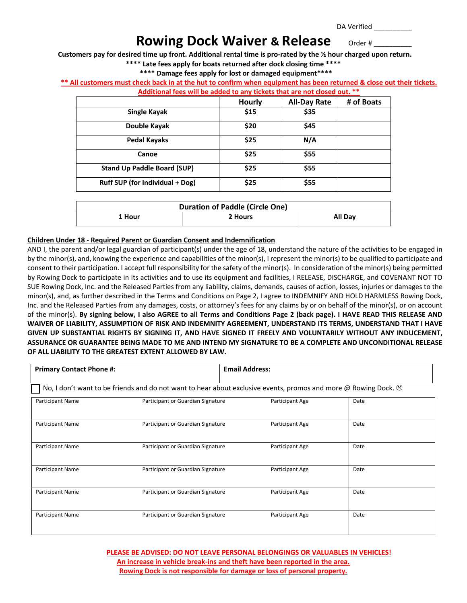DA Verified \_\_\_\_\_\_\_\_\_\_

# **Rowing Dock Waiver & Release** order #

**Customers pay for desired time up front. Additional rental time is pro-rated by the ½ hour charged upon return.**

**\*\*\*\* Late fees apply for boats returned after dock closing time \*\*\*\***

## **\*\*\*\* Damage fees apply for lost or damaged equipment\*\*\*\***

### **\*\* All customers must check back in at the hut to confirm when equipment has been returned & close out their tickets.**

| Additional fees will be added to any tickets that are not closed out. ** |        |                     |            |  |
|--------------------------------------------------------------------------|--------|---------------------|------------|--|
|                                                                          | Hourly | <b>All-Day Rate</b> | # of Boats |  |
| Single Kayak                                                             | \$15   | \$35                |            |  |
| Double Kayak                                                             | \$20   | \$45                |            |  |
| <b>Pedal Kayaks</b>                                                      | \$25   | N/A                 |            |  |
| Canoe                                                                    | \$25   | \$55                |            |  |
| <b>Stand Up Paddle Board (SUP)</b>                                       | \$25   | \$55                |            |  |
| Ruff SUP (for Individual + Dog)                                          | \$25   | \$55                |            |  |

| <b>Duration of Paddle (Circle One)</b> |         |         |  |  |
|----------------------------------------|---------|---------|--|--|
| 1 Hour                                 | 2 Hours | All Day |  |  |

#### **Children Under 18 - Required Parent or Guardian Consent and Indemnification**

AND I, the parent and/or legal guardian of participant(s) under the age of 18, understand the nature of the activities to be engaged in by the minor(s), and, knowing the experience and capabilities of the minor(s), I represent the minor(s) to be qualified to participate and consent to their participation. I accept full responsibility for the safety of the minor(s). In consideration of the minor(s) being permitted by Rowing Dock to participate in its activities and to use its equipment and facilities, I RELEASE, DISCHARGE, and COVENANT NOT TO SUE Rowing Dock, Inc. and the Released Parties from any liability, claims, demands, causes of action, losses, injuries or damages to the minor(s), and, as further described in the Terms and Conditions on Page 2, I agree to INDEMNIFY AND HOLD HARMLESS Rowing Dock, Inc. and the Released Parties from any damages, costs, or attorney's fees for any claims by or on behalf of the minor(s), or on account of the minor(s). **By signing below, I also AGREE to all Terms and Conditions Page 2 (back page). I HAVE READ THIS RELEASE AND WAIVER OF LIABILITY, ASSUMPTION OF RISK AND INDEMNITY AGREEMENT, UNDERSTAND ITS TERMS, UNDERSTAND THAT I HAVE GIVEN UP SUBSTANTIAL RIGHTS BY SIGNING IT, AND HAVE SIGNED IT FREELY AND VOLUNTARILY WITHOUT ANY INDUCEMENT, ASSURANCE OR GUARANTEE BEING MADE TO ME AND INTEND MY SIGNATURE TO BE A COMPLETE AND UNCONDITIONAL RELEASE OF ALL LIABILITY TO THE GREATEST EXTENT ALLOWED BY LAW.**

| <b>Primary Contact Phone #:</b> |                                                                                                                       | <b>Email Address:</b> |      |  |
|---------------------------------|-----------------------------------------------------------------------------------------------------------------------|-----------------------|------|--|
|                                 | No, I don't want to be friends and do not want to hear about exclusive events, promos and more @ Rowing Dock. $\odot$ |                       |      |  |
| Participant Name                | Participant or Guardian Signature                                                                                     | Participant Age       | Date |  |
| Participant Name                | Participant or Guardian Signature                                                                                     | Participant Age       | Date |  |
| Participant Name                | Participant or Guardian Signature                                                                                     | Participant Age       | Date |  |
| Participant Name                | Participant or Guardian Signature                                                                                     | Participant Age       | Date |  |
| Participant Name                | Participant or Guardian Signature                                                                                     | Participant Age       | Date |  |
| Participant Name                | Participant or Guardian Signature                                                                                     | Participant Age       | Date |  |